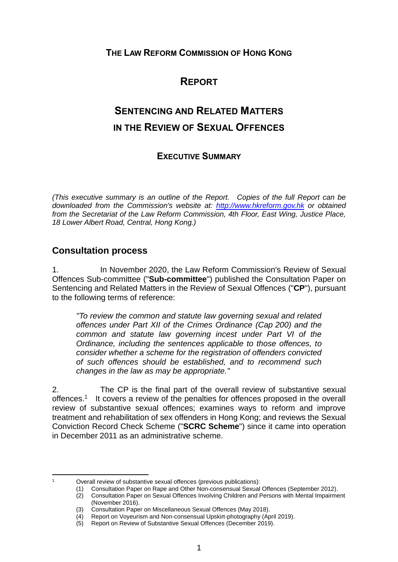### **THE LAW REFORM COMMISSION OF HONG KONG**

# **REPORT**

# **SENTENCING AND RELATED MATTERS IN THE REVIEW OF SEXUAL OFFENCES**

### **EXECUTIVE SUMMARY**

*(This executive summary is an outline of the Report. Copies of the full Report can be downloaded from the Commission's website at: [http://www.hkreform.gov.hk](http://www.hkreform.gov.hk/) or obtained from the Secretariat of the Law Reform Commission, 4th Floor, East Wing, Justice Place, 18 Lower Albert Road, Central, Hong Kong.)* 

### **Consultation process**

1

1. In November 2020, the Law Reform Commission's Review of Sexual Offences Sub-committee ("**Sub-committee**") published the Consultation Paper on Sentencing and Related Matters in the Review of Sexual Offences ("**CP**"), pursuant to the following terms of reference:

*"To review the common and statute law governing sexual and related offences under Part XII of the Crimes Ordinance (Cap 200) and the common and statute law governing incest under Part VI of the Ordinance, including the sentences applicable to those offences, to consider whether a scheme for the registration of offenders convicted of such offences should be established, and to recommend such changes in the law as may be appropriate."*

2. The CP is the final part of the overall review of substantive sexual offences.<sup>1</sup> It covers a review of the penalties for offences proposed in the overall review of substantive sexual offences; examines ways to reform and improve treatment and rehabilitation of sex offenders in Hong Kong; and reviews the Sexual Conviction Record Check Scheme ("**SCRC Scheme**") since it came into operation in December 2011 as an administrative scheme.

<sup>1</sup> Overall review of substantive sexual offences (previous publications):

<sup>(1)</sup> Consultation Paper on Rape and Other Non-consensual Sexual Offences (September 2012).

<sup>(2)</sup> Consultation Paper on Sexual Offences Involving Children and Persons with Mental Impairment (November 2016).

<sup>(3)</sup> Consultation Paper on Miscellaneous Sexual Offences (May 2018).

<sup>(4)</sup> Report on Voyeurism and Non-consensual Upskirt-photography (April 2019).

<sup>(5)</sup> Report on Review of Substantive Sexual Offences (December 2019).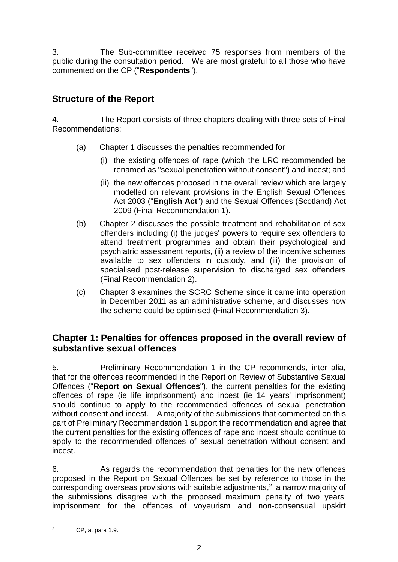3. The Sub-committee received 75 responses from members of the public during the consultation period. We are most grateful to all those who have commented on the CP ("**Respondents**").

# **Structure of the Report**

4. The Report consists of three chapters dealing with three sets of Final Recommendations:

- (a) Chapter 1 discusses the penalties recommended for
	- (i) the existing offences of rape (which the LRC recommended be renamed as "sexual penetration without consent") and incest; and
	- (ii) the new offences proposed in the overall review which are largely modelled on relevant provisions in the English Sexual Offences Act 2003 ("**English Act**") and the Sexual Offences (Scotland) Act 2009 (Final Recommendation 1).
- (b) Chapter 2 discusses the possible treatment and rehabilitation of sex offenders including (i) the judges' powers to require sex offenders to attend treatment programmes and obtain their psychological and psychiatric assessment reports, (ii) a review of the incentive schemes available to sex offenders in custody, and (iii) the provision of specialised post-release supervision to discharged sex offenders (Final Recommendation 2).
- (c) Chapter 3 examines the SCRC Scheme since it came into operation in December 2011 as an administrative scheme, and discusses how the scheme could be optimised (Final Recommendation 3).

## **Chapter 1: Penalties for offences proposed in the overall review of substantive sexual offences**

5. Preliminary Recommendation 1 in the CP recommends, inter alia, that for the offences recommended in the Report on Review of Substantive Sexual Offences ("**Report on Sexual Offences**"), the current penalties for the existing offences of rape (ie life imprisonment) and incest (ie 14 years' imprisonment) should continue to apply to the recommended offences of sexual penetration without consent and incest. A majority of the submissions that commented on this part of Preliminary Recommendation 1 support the recommendation and agree that the current penalties for the existing offences of rape and incest should continue to apply to the recommended offences of sexual penetration without consent and incest.

6. As regards the recommendation that penalties for the new offences proposed in the Report on Sexual Offences be set by reference to those in the corresponding overseas provisions with suitable adjustments, <sup>2</sup> a narrow majority of the submissions disagree with the proposed maximum penalty of two years' imprisonment for the offences of voyeurism and non-consensual upskirt

 $\overline{2}$ CP, at para 1.9.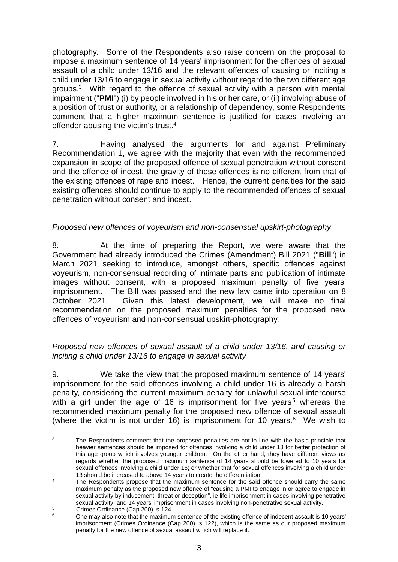photography. Some of the Respondents also raise concern on the proposal to impose a maximum sentence of 14 years' imprisonment for the offences of sexual assault of a child under 13/16 and the relevant offences of causing or inciting a child under 13/16 to engage in sexual activity without regard to the two different age groups.<sup>3</sup> With regard to the offence of sexual activity with a person with mental impairment ("**PMI**") (i) by people involved in his or her care, or (ii) involving abuse of a position of trust or authority, or a relationship of dependency, some Respondents comment that a higher maximum sentence is justified for cases involving an offender abusing the victim's trust.<sup>4</sup>

7. Having analysed the arguments for and against Preliminary Recommendation 1, we agree with the majority that even with the recommended expansion in scope of the proposed offence of sexual penetration without consent and the offence of incest, the gravity of these offences is no different from that of the existing offences of rape and incest. Hence, the current penalties for the said existing offences should continue to apply to the recommended offences of sexual penetration without consent and incest.

### *Proposed new offences of voyeurism and non-consensual upskirt-photography*

8. At the time of preparing the Report, we were aware that the Government had already introduced the Crimes (Amendment) Bill 2021 ("**Bill**") in March 2021 seeking to introduce, amongst others, specific offences against voyeurism, non-consensual recording of intimate parts and publication of intimate images without consent, with a proposed maximum penalty of five years' imprisonment. The Bill was passed and the new law came into operation on 8 October 2021. Given this latest development, we will make no final recommendation on the proposed maximum penalties for the proposed new offences of voyeurism and non-consensual upskirt-photography.

### *Proposed new offences of sexual assault of a child under 13/16, and causing or inciting a child under 13/16 to engage in sexual activity*

9. We take the view that the proposed maximum sentence of 14 years' imprisonment for the said offences involving a child under 16 is already a harsh penalty, considering the current maximum penalty for unlawful sexual intercourse with a girl under the age of 16 is imprisonment for five years<sup>5</sup> whereas the recommended maximum penalty for the proposed new offence of sexual assault (where the victim is not under 16) is imprisonment for 10 years. $6$  We wish to

 $\overline{a}$ The Respondents comment that the proposed penalties are not in line with the basic principle that heavier sentences should be imposed for offences involving a child under 13 for better protection of this age group which involves younger children. On the other hand, they have different views as regards whether the proposed maximum sentence of 14 years should be lowered to 10 years for sexual offences involving a child under 16; or whether that for sexual offences involving a child under 13 should be increased to above 14 years to create the differentiation.

<sup>&</sup>lt;sup>4</sup> The Respondents propose that the maximum sentence for the said offence should carry the same maximum penalty as the proposed new offence of "causing a PMI to engage in or agree to engage in sexual activity by inducement, threat or deception", ie life imprisonment in cases involving penetrative sexual activity, and 14 years' imprisonment in cases involving non-penetrative sexual activity.

 $\frac{5}{2}$  Crimes Ordinance (Cap 200), s 124.

<sup>6</sup> One may also note that the maximum sentence of the existing offence of indecent assault is 10 years' imprisonment (Crimes Ordinance (Cap 200), s 122), which is the same as our proposed maximum penalty for the new offence of sexual assault which will replace it.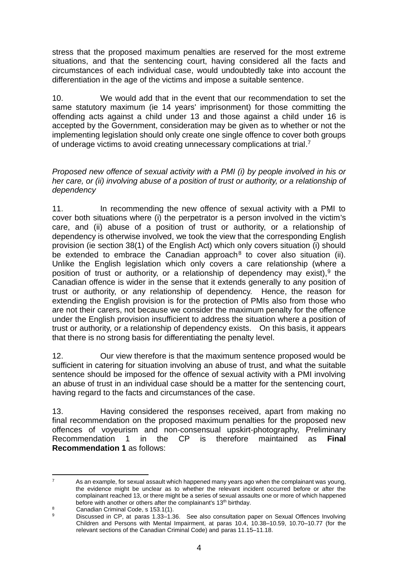stress that the proposed maximum penalties are reserved for the most extreme situations, and that the sentencing court, having considered all the facts and circumstances of each individual case, would undoubtedly take into account the differentiation in the age of the victims and impose a suitable sentence.

10. We would add that in the event that our recommendation to set the same statutory maximum (ie 14 years' imprisonment) for those committing the offending acts against a child under 13 and those against a child under 16 is accepted by the Government, consideration may be given as to whether or not the implementing legislation should only create one single offence to cover both groups of underage victims to avoid creating unnecessary complications at trial.<sup>7</sup>

*Proposed new offence of sexual activity with a PMI (i) by people involved in his or her care, or (ii) involving abuse of a position of trust or authority, or a relationship of dependency*

11. In recommending the new offence of sexual activity with a PMI to cover both situations where (i) the perpetrator is a person involved in the victim's care, and (ii) abuse of a position of trust or authority, or a relationship of dependency is otherwise involved, we took the view that the corresponding English provision (ie section 38(1) of the English Act) which only covers situation (i) should be extended to embrace the Canadian approach<sup>8</sup> to cover also situation (ii). Unlike the English legislation which only covers a care relationship (where a position of trust or authority, or a relationship of dependency may exist),  $9$  the Canadian offence is wider in the sense that it extends generally to any position of trust or authority, or any relationship of dependency. Hence, the reason for extending the English provision is for the protection of PMIs also from those who are not their carers, not because we consider the maximum penalty for the offence under the English provision insufficient to address the situation where a position of trust or authority, or a relationship of dependency exists. On this basis, it appears that there is no strong basis for differentiating the penalty level.

12. Our view therefore is that the maximum sentence proposed would be sufficient in catering for situation involving an abuse of trust, and what the suitable sentence should be imposed for the offence of sexual activity with a PMI involving an abuse of trust in an individual case should be a matter for the sentencing court, having regard to the facts and circumstances of the case.

13. Having considered the responses received, apart from making no final recommendation on the proposed maximum penalties for the proposed new offences of voyeurism and non-consensual upskirt-photography, Preliminary Recommendation 1 in the CP is therefore maintained as **Final Recommendation 1** as follows:

 $\overline{7}$ As an example, for sexual assault which happened many years ago when the complainant was young, the evidence might be unclear as to whether the relevant incident occurred before or after the complainant reached 13, or there might be a series of sexual assaults one or more of which happened before with another or others after the complainant's 13<sup>th</sup> birthday.

<sup>8</sup> Canadian Criminal Code, s 153.1(1).<br>
Represent the CR of the State of the CR of the CR of the CR of the CR of the CR of the CR of the CR of the CR

Discussed in CP, at paras 1.33–1.36. See also consultation paper on Sexual Offences Involving Children and Persons with Mental Impairment, at paras 10.4, 10.38–10.59, 10.70–10.77 (for the relevant sections of the Canadian Criminal Code) and paras 11.15–11.18.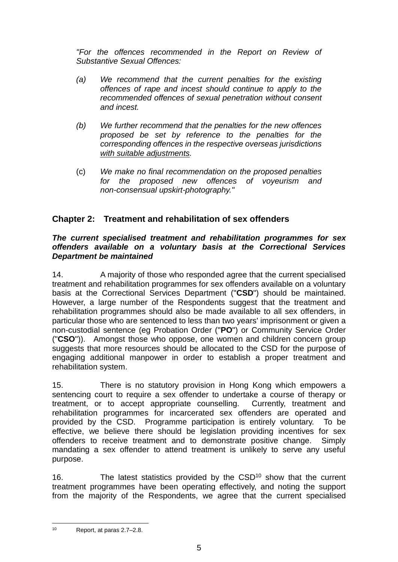*"For the offences recommended in the Report on Review of Substantive Sexual Offences:*

- *(a) We recommend that the current penalties for the existing offences of rape and incest should continue to apply to the recommended offences of sexual penetration without consent and incest.*
- *(b) We further recommend that the penalties for the new offences proposed be set by reference to the penalties for the corresponding offences in the respective overseas jurisdictions with suitable adjustments.*
- (c) *We make no final recommendation on the proposed penalties for the proposed new offences of voyeurism and non-consensual upskirt-photography."*

### **Chapter 2: Treatment and rehabilitation of sex offenders**

#### *The current specialised treatment and rehabilitation programmes for sex offenders available on a voluntary basis at the Correctional Services Department be maintained*

14. A majority of those who responded agree that the current specialised treatment and rehabilitation programmes for sex offenders available on a voluntary basis at the Correctional Services Department ("**CSD**") should be maintained. However, a large number of the Respondents suggest that the treatment and rehabilitation programmes should also be made available to all sex offenders, in particular those who are sentenced to less than two years' imprisonment or given a non-custodial sentence (eg Probation Order ("**PO**") or Community Service Order ("**CSO**")). Amongst those who oppose, one women and children concern group suggests that more resources should be allocated to the CSD for the purpose of engaging additional manpower in order to establish a proper treatment and rehabilitation system.

15. There is no statutory provision in Hong Kong which empowers a sentencing court to require a sex offender to undertake a course of therapy or treatment, or to accept appropriate counselling. Currently, treatment and rehabilitation programmes for incarcerated sex offenders are operated and provided by the CSD. Programme participation is entirely voluntary. To be effective, we believe there should be legislation providing incentives for sex offenders to receive treatment and to demonstrate positive change. Simply mandating a sex offender to attend treatment is unlikely to serve any useful purpose.

16. The latest statistics provided by the  $\text{CSD}^{10}$  show that the current treatment programmes have been operating effectively, and noting the support from the majority of the Respondents, we agree that the current specialised

 $10$ Report, at paras 2.7–2.8.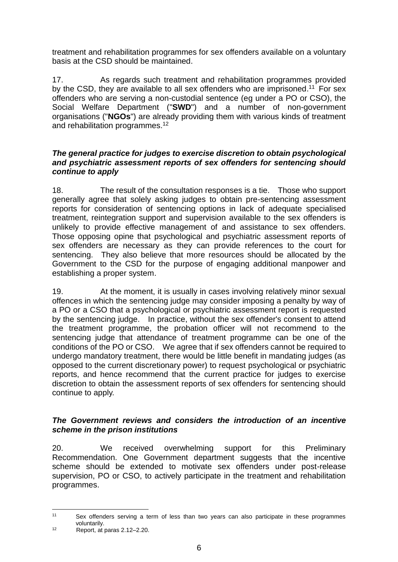treatment and rehabilitation programmes for sex offenders available on a voluntary basis at the CSD should be maintained.

17. As regards such treatment and rehabilitation programmes provided by the CSD, they are available to all sex offenders who are imprisoned.<sup>11</sup> For sex offenders who are serving a non-custodial sentence (eg under a PO or CSO), the Social Welfare Department ("**SWD**") and a number of non-government organisations ("**NGOs**") are already providing them with various kinds of treatment and rehabilitation programmes.<sup>12</sup>

### *The general practice for judges to exercise discretion to obtain psychological and psychiatric assessment reports of sex offenders for sentencing should continue to apply*

18. The result of the consultation responses is a tie. Those who support generally agree that solely asking judges to obtain pre-sentencing assessment reports for consideration of sentencing options in lack of adequate specialised treatment, reintegration support and supervision available to the sex offenders is unlikely to provide effective management of and assistance to sex offenders. Those opposing opine that psychological and psychiatric assessment reports of sex offenders are necessary as they can provide references to the court for sentencing. They also believe that more resources should be allocated by the Government to the CSD for the purpose of engaging additional manpower and establishing a proper system.

19. At the moment, it is usually in cases involving relatively minor sexual offences in which the sentencing judge may consider imposing a penalty by way of a PO or a CSO that a psychological or psychiatric assessment report is requested by the sentencing judge. In practice, without the sex offender's consent to attend the treatment programme, the probation officer will not recommend to the sentencing judge that attendance of treatment programme can be one of the conditions of the PO or CSO. We agree that if sex offenders cannot be required to undergo mandatory treatment, there would be little benefit in mandating judges (as opposed to the current discretionary power) to request psychological or psychiatric reports, and hence recommend that the current practice for judges to exercise discretion to obtain the assessment reports of sex offenders for sentencing should continue to apply.

### *The Government reviews and considers the introduction of an incentive scheme in the prison institutions*

20. We received overwhelming support for this Preliminary Recommendation. One Government department suggests that the incentive scheme should be extended to motivate sex offenders under post-release supervision, PO or CSO, to actively participate in the treatment and rehabilitation programmes.

 $11$ Sex offenders serving a term of less than two years can also participate in these programmes voluntarily.

<sup>12</sup> Report, at paras 2.12–2.20.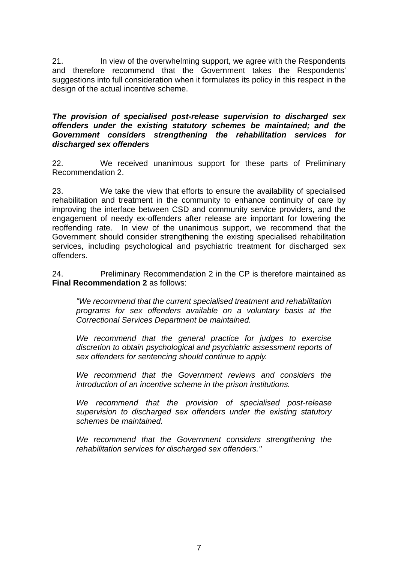21. In view of the overwhelming support, we agree with the Respondents and therefore recommend that the Government takes the Respondents' suggestions into full consideration when it formulates its policy in this respect in the design of the actual incentive scheme.

#### *The provision of specialised post-release supervision to discharged sex offenders under the existing statutory schemes be maintained; and the Government considers strengthening the rehabilitation services for discharged sex offenders*

22. We received unanimous support for these parts of Preliminary Recommendation 2.

23. We take the view that efforts to ensure the availability of specialised rehabilitation and treatment in the community to enhance continuity of care by improving the interface between CSD and community service providers, and the engagement of needy ex-offenders after release are important for lowering the reoffending rate. In view of the unanimous support, we recommend that the Government should consider strengthening the existing specialised rehabilitation services, including psychological and psychiatric treatment for discharged sex offenders.

24. Preliminary Recommendation 2 in the CP is therefore maintained as **Final Recommendation 2** as follows:

*"We recommend that the current specialised treatment and rehabilitation programs for sex offenders available on a voluntary basis at the Correctional Services Department be maintained.*

*We recommend that the general practice for judges to exercise discretion to obtain psychological and psychiatric assessment reports of sex offenders for sentencing should continue to apply.*

*We recommend that the Government reviews and considers the introduction of an incentive scheme in the prison institutions.*

*We recommend that the provision of specialised post-release supervision to discharged sex offenders under the existing statutory schemes be maintained.*

*We recommend that the Government considers strengthening the rehabilitation services for discharged sex offenders."*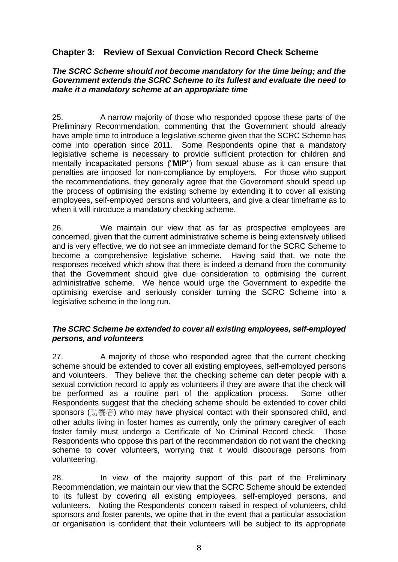### **Chapter 3: Review of Sexual Conviction Record Check Scheme**

#### *The SCRC Scheme should not become mandatory for the time being; and the Government extends the SCRC Scheme to its fullest and evaluate the need to make it a mandatory scheme at an appropriate time*

25. A narrow majority of those who responded oppose these parts of the Preliminary Recommendation, commenting that the Government should already have ample time to introduce a legislative scheme given that the SCRC Scheme has come into operation since 2011. Some Respondents opine that a mandatory legislative scheme is necessary to provide sufficient protection for children and mentally incapacitated persons ("**MIP**") from sexual abuse as it can ensure that penalties are imposed for non-compliance by employers. For those who support the recommendations, they generally agree that the Government should speed up the process of optimising the existing scheme by extending it to cover all existing employees, self-employed persons and volunteers, and give a clear timeframe as to when it will introduce a mandatory checking scheme.

26. We maintain our view that as far as prospective employees are concerned, given that the current administrative scheme is being extensively utilised and is very effective, we do not see an immediate demand for the SCRC Scheme to become a comprehensive legislative scheme. Having said that, we note the responses received which show that there is indeed a demand from the community that the Government should give due consideration to optimising the current administrative scheme. We hence would urge the Government to expedite the optimising exercise and seriously consider turning the SCRC Scheme into a legislative scheme in the long run.

#### *The SCRC Scheme be extended to cover all existing employees, self-employed persons, and volunteers*

27. A majority of those who responded agree that the current checking scheme should be extended to cover all existing employees, self-employed persons and volunteers. They believe that the checking scheme can deter people with a sexual conviction record to apply as volunteers if they are aware that the check will be performed as a routine part of the application process. Some other Respondents suggest that the checking scheme should be extended to cover child sponsors (助養者) who may have physical contact with their sponsored child, and other adults living in foster homes as currently, only the primary caregiver of each foster family must undergo a Certificate of No Criminal Record check. Those Respondents who oppose this part of the recommendation do not want the checking scheme to cover volunteers, worrying that it would discourage persons from volunteering.

28. In view of the majority support of this part of the Preliminary Recommendation, we maintain our view that the SCRC Scheme should be extended to its fullest by covering all existing employees, self-employed persons, and volunteers. Noting the Respondents' concern raised in respect of volunteers, child sponsors and foster parents, we opine that in the event that a particular association or organisation is confident that their volunteers will be subject to its appropriate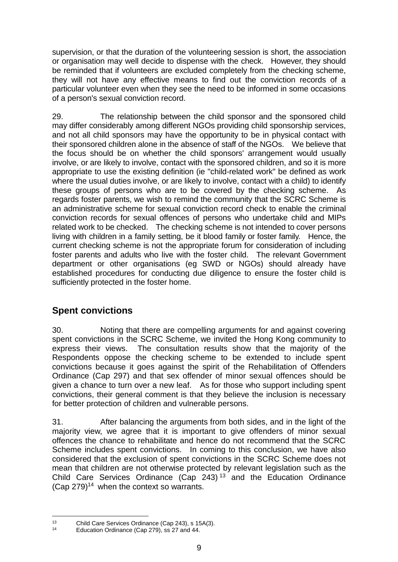supervision, or that the duration of the volunteering session is short, the association or organisation may well decide to dispense with the check. However, they should be reminded that if volunteers are excluded completely from the checking scheme, they will not have any effective means to find out the conviction records of a particular volunteer even when they see the need to be informed in some occasions of a person's sexual conviction record.

29. The relationship between the child sponsor and the sponsored child may differ considerably among different NGOs providing child sponsorship services, and not all child sponsors may have the opportunity to be in physical contact with their sponsored children alone in the absence of staff of the NGOs. We believe that the focus should be on whether the child sponsors' arrangement would usually involve, or are likely to involve, contact with the sponsored children, and so it is more appropriate to use the existing definition (ie "child-related work" be defined as work where the usual duties involve, or are likely to involve, contact with a child) to identify these groups of persons who are to be covered by the checking scheme. As regards foster parents, we wish to remind the community that the SCRC Scheme is an administrative scheme for sexual conviction record check to enable the criminal conviction records for sexual offences of persons who undertake child and MIPs related work to be checked. The checking scheme is not intended to cover persons living with children in a family setting, be it blood family or foster family. Hence, the current checking scheme is not the appropriate forum for consideration of including foster parents and adults who live with the foster child. The relevant Government department or other organisations (eg SWD or NGOs) should already have established procedures for conducting due diligence to ensure the foster child is sufficiently protected in the foster home.

# **Spent convictions**

30. Noting that there are compelling arguments for and against covering spent convictions in the SCRC Scheme, we invited the Hong Kong community to express their views. The consultation results show that the majority of the Respondents oppose the checking scheme to be extended to include spent convictions because it goes against the spirit of the Rehabilitation of Offenders Ordinance (Cap 297) and that sex offender of minor sexual offences should be given a chance to turn over a new leaf. As for those who support including spent convictions, their general comment is that they believe the inclusion is necessary for better protection of children and vulnerable persons.

31. After balancing the arguments from both sides, and in the light of the majority view, we agree that it is important to give offenders of minor sexual offences the chance to rehabilitate and hence do not recommend that the SCRC Scheme includes spent convictions. In coming to this conclusion, we have also considered that the exclusion of spent convictions in the SCRC Scheme does not mean that children are not otherwise protected by relevant legislation such as the Child Care Services Ordinance (Cap 243) <sup>13</sup> and the Education Ordinance (Cap  $279$ )<sup>14</sup> when the context so warrants.

<sup>1</sup> <sup>13</sup> Child Care Services Ordinance (Cap 243), s 15A(3).

Education Ordinance (Cap 279), ss 27 and 44.